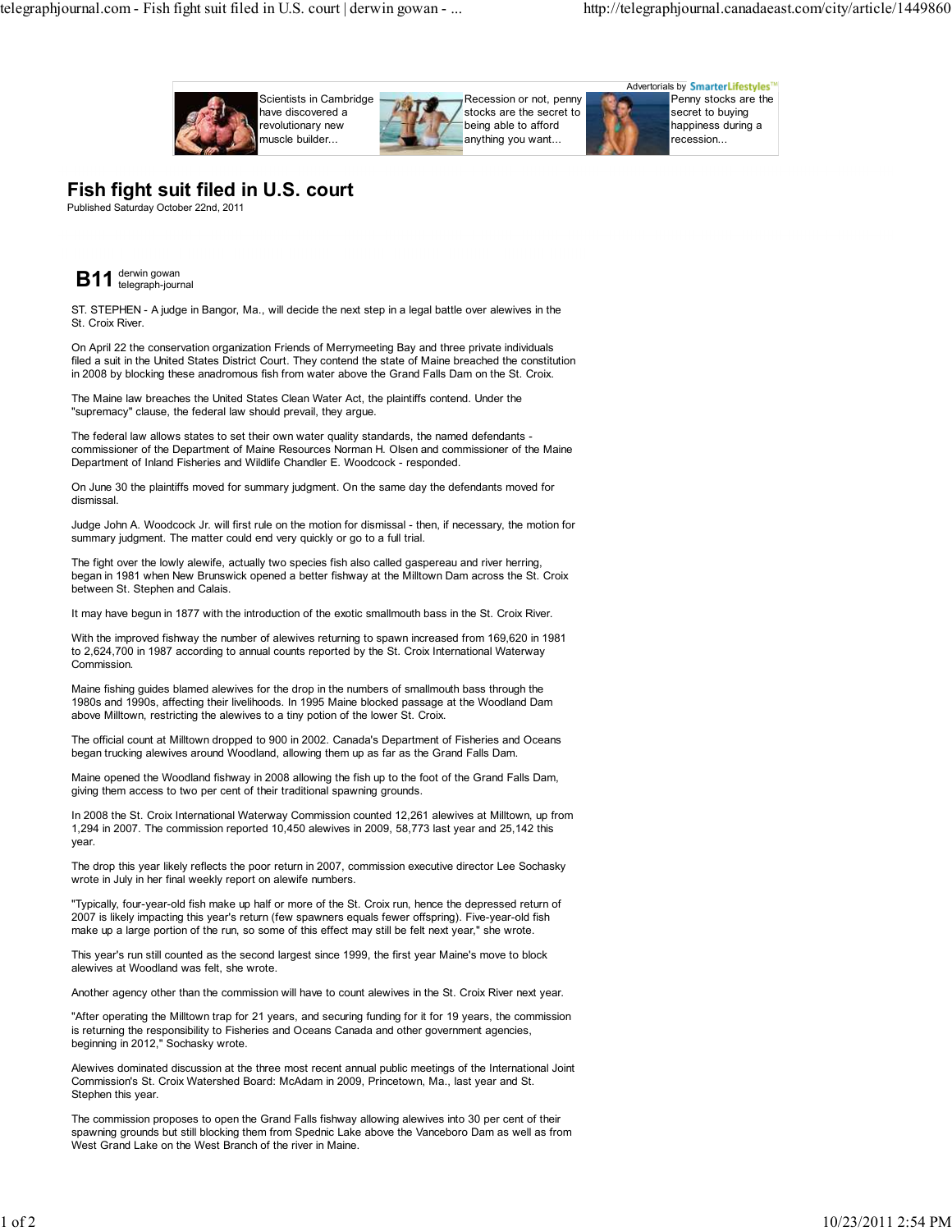

## **Fish fight suit filed in U.S. court**

Published Saturday October 22nd, 2011



ST. STEPHEN - A judge in Bangor, Ma., will decide the next step in a legal battle over alewives in the St. Croix River.

On April 22 the conservation organization Friends of Merrymeeting Bay and three private individuals filed a suit in the United States District Court. They contend the state of Maine breached the constitution in 2008 by blocking these anadromous fish from water above the Grand Falls Dam on the St. Croix.

The Maine law breaches the United States Clean Water Act, the plaintiffs contend. Under the "supremacy" clause, the federal law should prevail, they argue.

The federal law allows states to set their own water quality standards, the named defendants commissioner of the Department of Maine Resources Norman H. Olsen and commissioner of the Maine Department of Inland Fisheries and Wildlife Chandler E. Woodcock - responded.

On June 30 the plaintiffs moved for summary judgment. On the same day the defendants moved for dismissal.

Judge John A. Woodcock Jr. will first rule on the motion for dismissal - then, if necessary, the motion for summary judgment. The matter could end very quickly or go to a full trial.

The fight over the lowly alewife, actually two species fish also called gaspereau and river herring, began in 1981 when New Brunswick opened a better fishway at the Milltown Dam across the St. Croix between St. Stephen and Calais.

It may have begun in 1877 with the introduction of the exotic smallmouth bass in the St. Croix River.

With the improved fishway the number of alewives returning to spawn increased from 169,620 in 1981 to 2,624,700 in 1987 according to annual counts reported by the St. Croix International Waterway Commission.

Maine fishing guides blamed alewives for the drop in the numbers of smallmouth bass through the 1980s and 1990s, affecting their livelihoods. In 1995 Maine blocked passage at the Woodland Dam above Milltown, restricting the alewives to a tiny potion of the lower St. Croix.

The official count at Milltown dropped to 900 in 2002. Canada's Department of Fisheries and Oceans began trucking alewives around Woodland, allowing them up as far as the Grand Falls Dam.

Maine opened the Woodland fishway in 2008 allowing the fish up to the foot of the Grand Falls Dam, giving them access to two per cent of their traditional spawning grounds.

In 2008 the St. Croix International Waterway Commission counted 12,261 alewives at Milltown, up from 1,294 in 2007. The commission reported 10,450 alewives in 2009, 58,773 last year and 25,142 this year.

The drop this year likely reflects the poor return in 2007, commission executive director Lee Sochasky wrote in July in her final weekly report on alewife numbers.

"Typically, four-year-old fish make up half or more of the St. Croix run, hence the depressed return of 2007 is likely impacting this year's return (few spawners equals fewer offspring). Five-year-old fish make up a large portion of the run, so some of this effect may still be felt next year," she wrote.

This year's run still counted as the second largest since 1999, the first year Maine's move to block alewives at Woodland was felt, she wrote.

Another agency other than the commission will have to count alewives in the St. Croix River next year.

"After operating the Milltown trap for 21 years, and securing funding for it for 19 years, the commission is returning the responsibility to Fisheries and Oceans Canada and other government agencies, beginning in 2012," Sochasky wrote.

Alewives dominated discussion at the three most recent annual public meetings of the International Joint Commission's St. Croix Watershed Board: McAdam in 2009, Princetown, Ma., last year and St. Stephen this year.

The commission proposes to open the Grand Falls fishway allowing alewives into 30 per cent of their spawning grounds but still blocking them from Spednic Lake above the Vanceboro Dam as well as from West Grand Lake on the West Branch of the river in Maine.